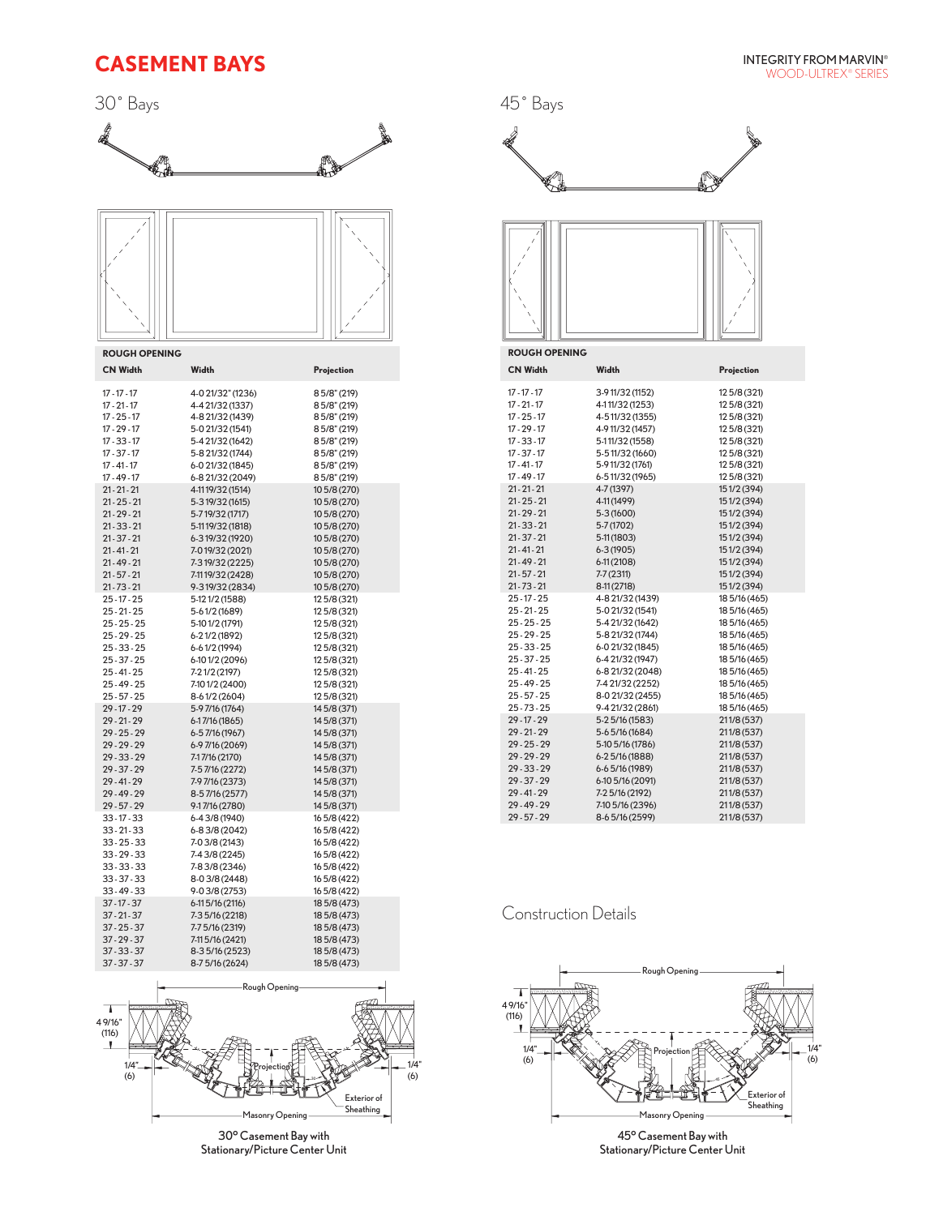# **CASEMENT BAYS**

30˚ Bays





**ROUGH OPENING**

| <b>CN Width</b> | Width             | Projection   |
|-----------------|-------------------|--------------|
| $17 - 17 - 17$  | 4-0 21/32" (1236) | 85/8" (219)  |
| $17 - 21 - 17$  | 4-4 21/32 (1337)  | 85/8" (219)  |
| $17 - 25 - 17$  | 4-8 21/32 (1439)  | 85/8" (219)  |
| $17 - 29 - 17$  | 5-0 21/32 (1541)  | 85/8" (219)  |
| $17 - 33 - 17$  | 5-4 21/32 (1642)  | 85/8" (219)  |
| $17 - 37 - 17$  | 5-8 21/32 (1744)  | 85/8" (219)  |
| $17 - 41 - 17$  | 6-0 21/32 (1845)  | 85/8" (219)  |
| $17 - 49 - 17$  | 6-8 21/32 (2049)  | 85/8" (219)  |
| $21 - 21 - 21$  | 4-1119/32 (1514)  | 10 5/8 (270) |
| $21 - 25 - 21$  | 5-319/32 (1615)   | 10 5/8 (270) |
| $21 - 29 - 21$  | 5-719/32 (1717)   | 10 5/8 (270) |
| $21 - 33 - 21$  | 5-1119/32 (1818)  | 10 5/8 (270) |
| $21 - 37 - 21$  | 6-319/32 (1920)   | 10 5/8 (270) |
| $21 - 41 - 21$  | 7-019/32 (2021)   | 10 5/8 (270) |
| $21 - 49 - 21$  | 7-319/32 (2225)   | 10 5/8 (270) |
| $21 - 57 - 21$  | 7-1119/32 (2428)  | 10 5/8 (270) |
| $21 - 73 - 21$  | 9-319/32 (2834)   | 10 5/8 (270) |
| $25 - 17 - 25$  | 5-121/2 (1588)    | 12 5/8 (321) |
| $25 - 21 - 25$  | 5-61/2 (1689)     | 12 5/8 (321) |
| $25 - 25 - 25$  | 5-101/2 (1791)    | 12 5/8 (321) |
| $25 - 29 - 25$  | 6-21/2 (1892)     | 12 5/8 (321) |
| $25 - 33 - 25$  | 6-61/2 (1994)     | 12 5/8 (321) |
| $25 - 37 - 25$  | 6-101/2 (2096)    | 12 5/8 (321) |
| $25 - 41 - 25$  | 7-21/2 (2197)     | 12 5/8 (321) |
| $25 - 49 - 25$  | 7-10 1/2 (2400)   | 12 5/8 (321) |
| $25 - 57 - 25$  | 8-61/2 (2604)     | 12 5/8 (321) |
| $29 - 17 - 29$  | 5-9 7/16 (1764)   | 14 5/8 (371) |
| $29 - 21 - 29$  | $6-17/16(1865)$   | 14 5/8 (371) |
| $29 - 25 - 29$  | 6-57/16 (1967)    | 14 5/8 (371) |
| $29 - 29 - 29$  | 6-97/16 (2069)    | 14 5/8 (371) |
| $29 - 33 - 29$  | 7-17/16 (2170)    | 14 5/8 (371) |
| $29 - 37 - 29$  | 7-57/16 (2272)    | 14 5/8 (371) |
| 29 - 41 - 29    | 7-9 7/16 (2373)   | 14 5/8 (371) |
| 29 - 49 - 29    | 8-57/16 (2577)    | 14 5/8 (371) |
| $29 - 57 - 29$  | 9-17/16 (2780)    | 14 5/8 (371) |
| $33 - 17 - 33$  | 6-43/8 (1940)     | 16 5/8 (422) |
| $33 - 21 - 33$  | 6-83/8 (2042)     | 165/8 (422)  |
| $33 - 25 - 33$  | 7-0 3/8 (2143)    | 16 5/8 (422) |
| $33 - 29 - 33$  | 7-43/8 (2245)     | 165/8 (422)  |
| $33 - 33 - 33$  | 7-83/8 (2346)     | 165/8 (422)  |
| $33 - 37 - 33$  | 8-03/8 (2448)     | 16 5/8 (422) |
| $33 - 49 - 33$  | $9-03/8(2753)$    | 165/8 (422)  |
| $37 - 17 - 37$  | $6-115/16(2116)$  | 18 5/8 (473) |
| $37 - 21 - 37$  | 7-3 5/16 (2218)   | 18 5/8 (473) |
| $37 - 25 - 37$  | 7-7 5/16 (2319)   | 18 5/8 (473) |
| $37 - 29 - 37$  | 7-11 5/16 (2421)  | 18 5/8 (473) |
| $37 - 33 - 37$  | 8-35/16 (2523)    | 18 5/8 (473) |
| $37 - 37 - 37$  | 8-75/16 (2624)    | 18 5/8 (473) |



30° Casement Bay with Stationary/Picture Center Unit



### Construction Details

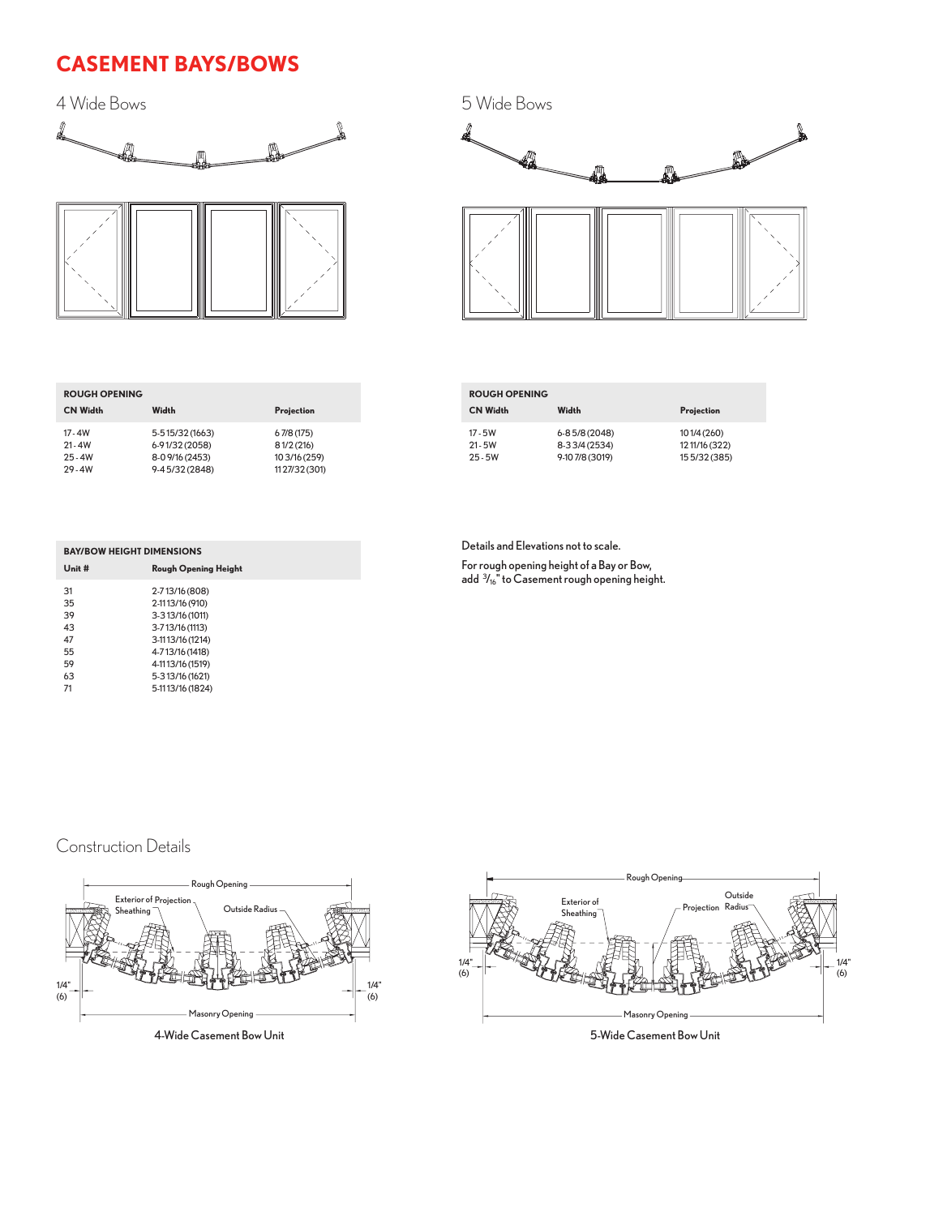# **CASEMENT BAYS/BOWS**

4 Wide Bows



| 5 Wide Bows |  |
|-------------|--|
| 4           |  |
|             |  |
|             |  |
|             |  |
|             |  |
|             |  |
|             |  |

| <b>ROUGH OPENING</b>                             |                                                                        |                                                           |
|--------------------------------------------------|------------------------------------------------------------------------|-----------------------------------------------------------|
| <b>CN Width</b>                                  | Width                                                                  | Projection                                                |
| $17 - 4W$<br>$21 - 4W$<br>$25 - 4W$<br>$29 - 4W$ | 5-515/32 (1663)<br>6-91/32 (2058)<br>8-0 9/16 (2453)<br>9-45/32 (2848) | 67/8(175)<br>81/2(216)<br>10 3/16 (259)<br>11 27/32 (301) |

| <b>ROUGH OPENING</b>   |                                  |                                 |
|------------------------|----------------------------------|---------------------------------|
| <b>CN Width</b>        | Width                            | Projection                      |
| 17 - 5W                | 6-8 5/8 (2048)                   | 101/4 (260)                     |
| $21 - 5W$<br>$25 - 5W$ | 8-33/4 (2534)<br>9-10 7/8 (3019) | 12 11/16 (322)<br>15 5/32 (385) |

| <b>BAY/BOW HEIGHT DIMENSIONS</b> |                             |  |  |
|----------------------------------|-----------------------------|--|--|
| $Unit$ #                         | <b>Rough Opening Height</b> |  |  |
| 31                               | 2-713/16 (808)              |  |  |
| 35                               | 2-1113/16 (910)             |  |  |
| 39                               | 3-313/16 (1011)             |  |  |
| 43                               | 3-713/16 (1113)             |  |  |
| 47                               | 3-1113/16 (1214)            |  |  |
| 55                               | 4-713/16 (1418)             |  |  |
| 59                               | 4-1113/16 (1519)            |  |  |
| 63                               | 5-313/16 (1621)             |  |  |
| 71                               | 5-1113/16 (1824)            |  |  |
|                                  |                             |  |  |

Details and Elevations not to scale.

For rough opening height of a Bay or Bow, add <sup>3</sup> /16" to Casement rough opening height.

## Construction Details



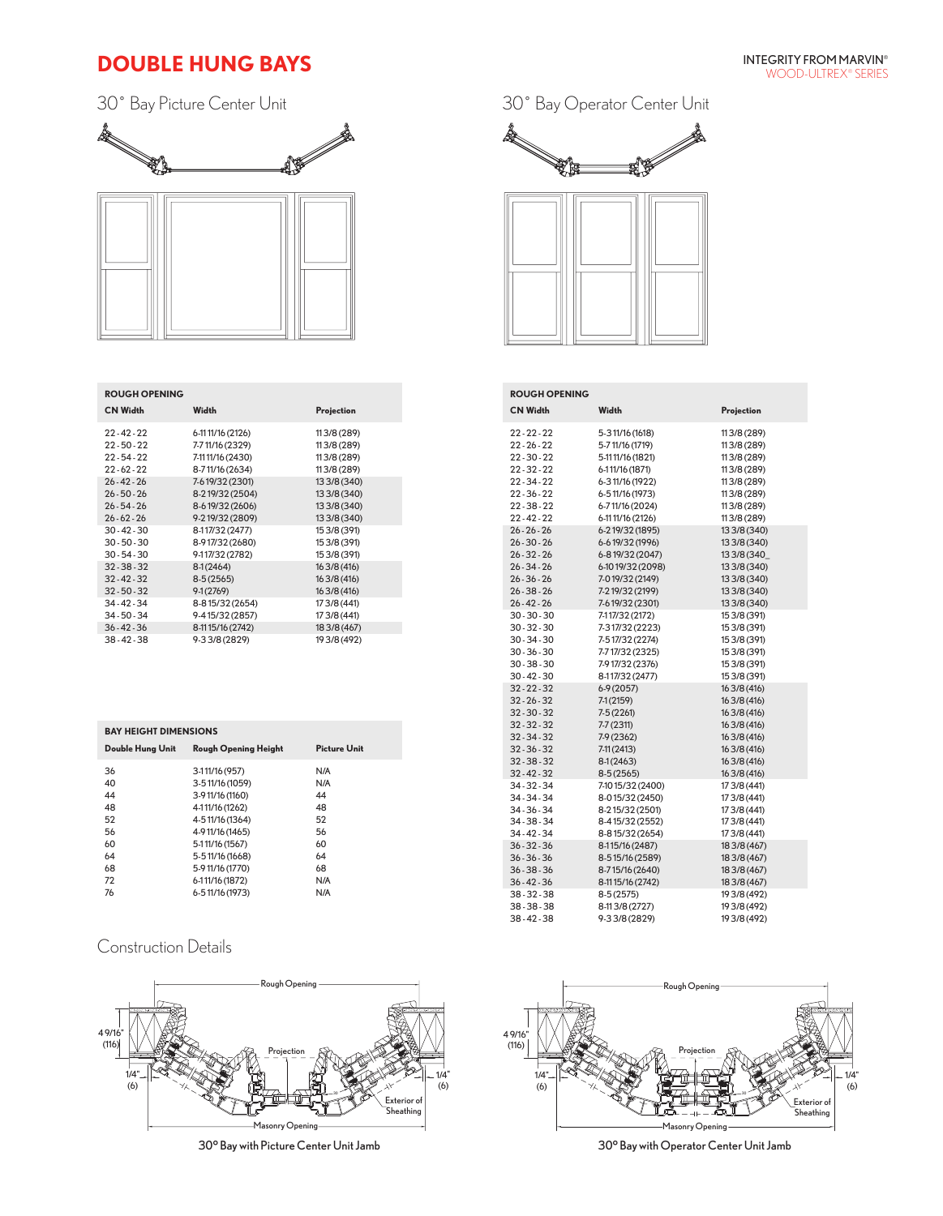## **DOUBLE HUNG BAYS**

30˚ Bay Picture Center Unit



| <b>ROUGH OPENING</b> |                  |              |
|----------------------|------------------|--------------|
| <b>CN Width</b>      | Width            | Projection   |
| $22 - 42 - 22$       | 6-1111/16 (2126) | 113/8 (289)  |
| 22 - 50 - 22         | 7-711/16 (2329)  | 113/8 (289)  |
| $22 - 54 - 22$       | 7-1111/16 (2430) | 113/8 (289)  |
| $22 - 62 - 22$       | 8-711/16 (2634)  | 113/8 (289)  |
| $26 - 42 - 26$       | 7-619/32 (2301)  | 13 3/8 (340) |
| $26 - 50 - 26$       | 8-219/32 (2504)  | 13 3/8 (340) |
| $26 - 54 - 26$       | 8-619/32 (2606)  | 13 3/8 (340) |
| $26 - 62 - 26$       | 9-219/32 (2809)  | 13 3/8 (340) |
| 30 - 42 - 30         | 8-117/32 (2477)  | 15 3/8 (391) |
| $30 - 50 - 30$       | 8-917/32 (2680)  | 15 3/8 (391) |
| $30 - 54 - 30$       | 9-117/32 (2782)  | 15 3/8 (391) |
| $32 - 38 - 32$       | $8-1(2464)$      | 16 3/8 (416) |
| $32 - 42 - 32$       | $8-5(2565)$      | 16 3/8 (416) |
| $32 - 50 - 32$       | $9-1(2769)$      | 16 3/8 (416) |
| 34 - 42 - 34         | 8-815/32 (2654)  | 17 3/8 (441) |
| 34 - 50 - 34         | 9-415/32 (2857)  | 17 3/8 (441) |
| $36 - 42 - 36$       | 8-1115/16 (2742) | 18 3/8 (467) |
| 38-42-38             | 9-33/8 (2829)    | 19 3/8 (492) |

| <b>BAY HEIGHT DIMENSIONS</b> |                             |              |  |
|------------------------------|-----------------------------|--------------|--|
| <b>Double Hung Unit</b>      | <b>Rough Opening Height</b> | Picture Unit |  |
| 36                           | 3-111/16 (957)              | N/A          |  |
| 40                           | 3-511/16 (1059)             | N/A          |  |
| 44                           | 3-9 11/16 (1160)            | 44           |  |
| 48                           | 4-111/16 (1262)             | 48           |  |
| 52                           | 4-511/16 (1364)             | 52           |  |
| 56                           | 4-9 11/16 (1465)            | 56           |  |
| 60                           | 5-111/16 (1567)             | 60           |  |
| 64                           | 5-511/16 (1668)             | 64           |  |
| 68                           | 5-911/16 (1770)             | 68           |  |
| 72                           | 6-111/16 (1872)             | N/A          |  |
| 76                           | 6-5 11/16 (1973)            | N/A          |  |

## Construction Details







| <b>ROUGH OPENING</b> |                   |              |
|----------------------|-------------------|--------------|
| <b>CN Width</b>      | Width             | Projection   |
| $22 - 22 - 22$       | 5-3 11/16 (1618)  | 113/8 (289)  |
| $22 - 26 - 22$       | 5-711/16 (1719)   | 113/8 (289)  |
| 22 - 30 - 22         | 5-11 11/16 (1821) | 113/8 (289)  |
| $22 - 32 - 22$       | 6-111/16 (1871)   | 113/8 (289)  |
| 22 - 34 - 22         | 6-311/16 (1922)   | 113/8 (289)  |
| $22 - 36 - 22$       | 6-5 11/16 (1973)  | 113/8 (289)  |
| $22 - 38 - 22$       | 6-711/16 (2024)   | 113/8 (289)  |
| $22 - 42 - 22$       | 6-1111/16 (2126)  | 113/8 (289)  |
| $26 - 26 - 26$       | 6-219/32 (1895)   | 13 3/8 (340) |
| $26 - 30 - 26$       | 6-619/32 (1996)   | 13 3/8 (340) |
| $26 - 32 - 26$       | 6-819/32 (2047)   | 13 3/8 (340  |
| $26 - 34 - 26$       | 6-10 19/32 (2098) | 13 3/8 (340) |
| $26 - 36 - 26$       | 7-019/32 (2149)   | 13 3/8 (340) |
| $26 - 38 - 26$       | 7-219/32 (2199)   | 13 3/8 (340) |
| $26 - 42 - 26$       | 7-619/32 (2301)   | 13 3/8 (340) |
| 30 - 30 - 30         | 7-117/32 (2172)   | 15 3/8 (391) |
| $30 - 32 - 30$       | 7-317/32 (2223)   | 15 3/8 (391) |
| 30-34-30             | 7-517/32 (2274)   | 15 3/8 (391) |
| $30 - 36 - 30$       | 7-717/32 (2325)   | 15 3/8 (391) |
| $30 - 38 - 30$       | 7-917/32 (2376)   | 15 3/8 (391) |
| $30 - 42 - 30$       | 8-117/32 (2477)   | 15 3/8 (391) |
| $32 - 22 - 32$       | $6-9(2057)$       | 16 3/8 (416) |
| $32 - 26 - 32$       | 7-1(2159)         | 16 3/8 (416) |
| $32 - 30 - 32$       | $7-5(2261)$       | 16 3/8 (416) |
| $32 - 32 - 32$       | 7-7 (2311)        | 16 3/8 (416) |
| 32-34-32             | 7-9 (2362)        | 16 3/8 (416) |
| $32 - 36 - 32$       | 7-11 (2413)       | 16 3/8 (416) |
| 32-38-32             | $8-1(2463)$       | 16 3/8 (416) |
| 32-42-32             | $8-5(2565)$       | 16 3/8 (416) |
| 34 - 32 - 34         | 7-10 15/32 (2400) | 17 3/8 (441) |
| 34 - 34 - 34         | 8-015/32 (2450)   | 17 3/8 (441) |
| 34 - 36 - 34         | 8-215/32 (2501)   | 17 3/8 (441) |
| 34 - 38 - 34         | 8-415/32 (2552)   | 17 3/8 (441) |
| 34 - 42 - 34         | 8-815/32 (2654)   | 17 3/8 (441) |
| $36 - 32 - 36$       | 8-115/16 (2487)   | 18 3/8 (467) |
| $36 - 36 - 36$       | 8-515/16 (2589)   | 18 3/8 (467) |
| $36 - 38 - 36$       | 8-715/16 (2640)   | 18 3/8 (467) |
| $36 - 42 - 36$       | 8-1115/16 (2742)  | 18 3/8 (467) |
| 38-32-38             | $8-5(2575)$       | 19 3/8 (492) |
| 38-38-38             | 8-113/8 (2727)    | 19 3/8 (492) |
| 38-42-38             | 9-33/8 (2829)     | 19 3/8 (492) |



30° Bay with Picture Center Unit Jamb 30° Bay with Operator Center Unit Jamb